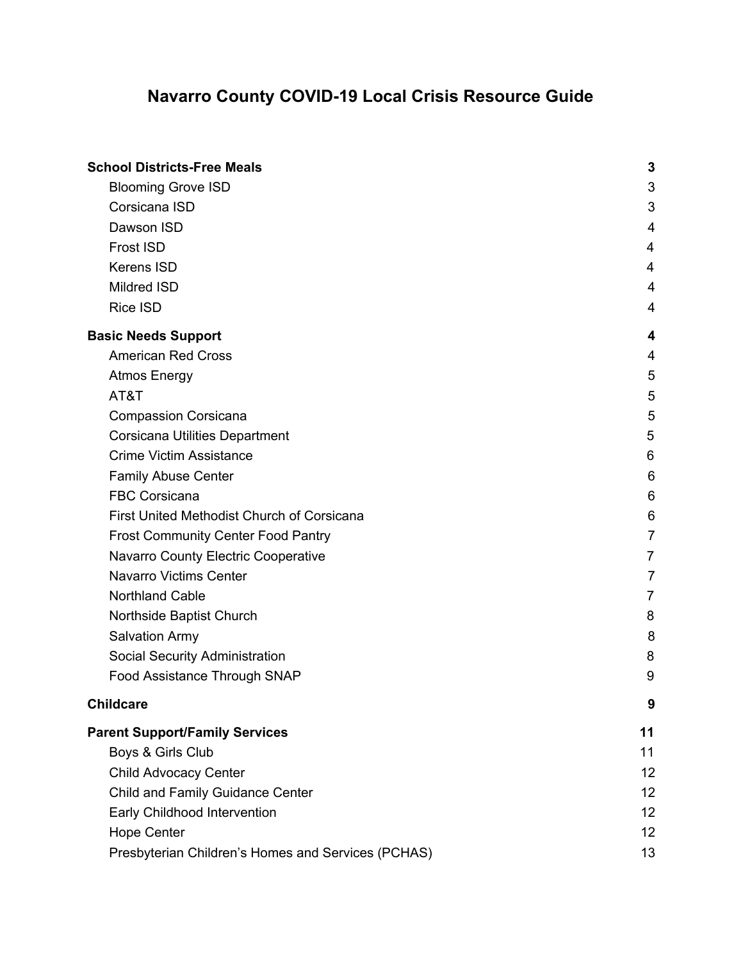| <b>School Districts-Free Meals</b>                 | 3              |
|----------------------------------------------------|----------------|
| <b>Blooming Grove ISD</b>                          | 3              |
| Corsicana ISD                                      | 3              |
| Dawson ISD                                         | 4              |
| Frost ISD                                          | 4              |
| <b>Kerens ISD</b>                                  | 4              |
| Mildred ISD                                        | 4              |
| <b>Rice ISD</b>                                    | 4              |
| <b>Basic Needs Support</b>                         | 4              |
| <b>American Red Cross</b>                          | 4              |
| <b>Atmos Energy</b>                                | 5              |
| AT&T                                               | 5              |
| <b>Compassion Corsicana</b>                        | 5              |
| Corsicana Utilities Department                     | 5              |
| <b>Crime Victim Assistance</b>                     | 6              |
| <b>Family Abuse Center</b>                         | 6              |
| <b>FBC Corsicana</b>                               | 6              |
| First United Methodist Church of Corsicana         | 6              |
| <b>Frost Community Center Food Pantry</b>          | $\overline{7}$ |
| Navarro County Electric Cooperative                | 7              |
| <b>Navarro Victims Center</b>                      | $\overline{7}$ |
| <b>Northland Cable</b>                             | 7              |
| Northside Baptist Church                           | 8              |
| <b>Salvation Army</b>                              | 8              |
| Social Security Administration                     | 8              |
| Food Assistance Through SNAP                       | 9              |
| <b>Childcare</b>                                   | 9              |
| <b>Parent Support/Family Services</b>              | 11             |
| Boys & Girls Club                                  | 11             |
| <b>Child Advocacy Center</b>                       | 12             |
| Child and Family Guidance Center                   | 12             |
| Early Childhood Intervention                       | 12             |
| <b>Hope Center</b>                                 | 12             |
| Presbyterian Children's Homes and Services (PCHAS) | 13             |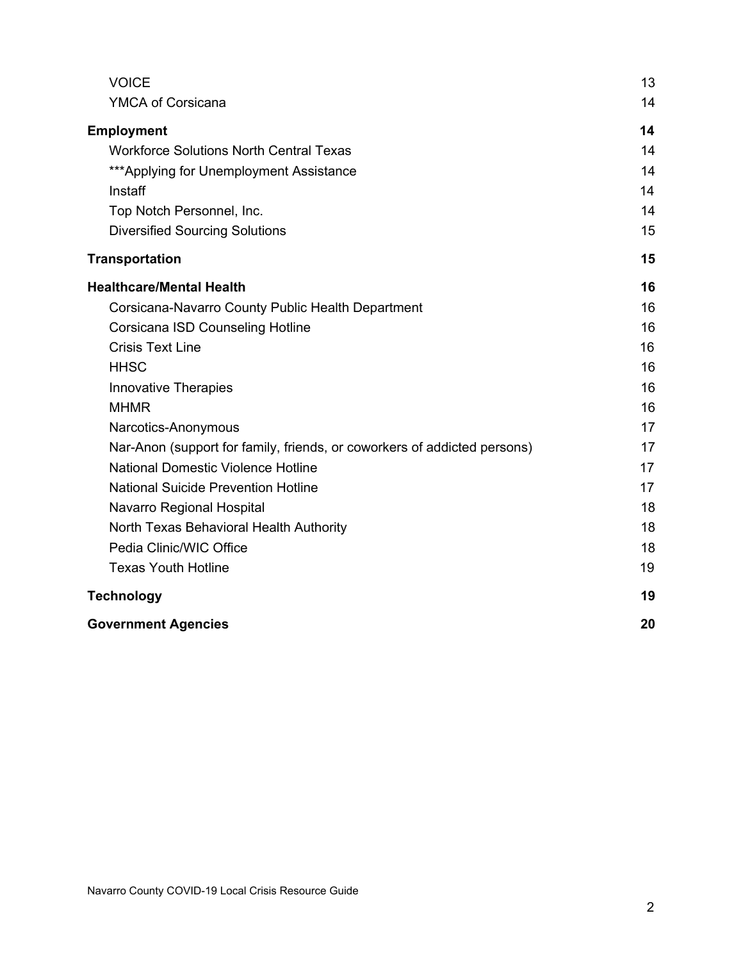| <b>VOICE</b>                                                             | 13 |
|--------------------------------------------------------------------------|----|
| YMCA of Corsicana                                                        | 14 |
| <b>Employment</b>                                                        | 14 |
| <b>Workforce Solutions North Central Texas</b>                           | 14 |
| *** Applying for Unemployment Assistance                                 | 14 |
| Instaff                                                                  | 14 |
| Top Notch Personnel, Inc.                                                | 14 |
| <b>Diversified Sourcing Solutions</b>                                    | 15 |
| <b>Transportation</b>                                                    | 15 |
| <b>Healthcare/Mental Health</b>                                          | 16 |
| Corsicana-Navarro County Public Health Department                        | 16 |
| Corsicana ISD Counseling Hotline                                         | 16 |
| <b>Crisis Text Line</b>                                                  | 16 |
| <b>HHSC</b>                                                              | 16 |
| <b>Innovative Therapies</b>                                              | 16 |
| <b>MHMR</b>                                                              | 16 |
| Narcotics-Anonymous                                                      | 17 |
| Nar-Anon (support for family, friends, or coworkers of addicted persons) | 17 |
| <b>National Domestic Violence Hotline</b>                                | 17 |
| <b>National Suicide Prevention Hotline</b>                               | 17 |
| Navarro Regional Hospital                                                | 18 |
| North Texas Behavioral Health Authority                                  | 18 |
| Pedia Clinic/WIC Office                                                  | 18 |
| <b>Texas Youth Hotline</b>                                               | 19 |
| <b>Technology</b>                                                        | 19 |
| <b>Government Agencies</b>                                               | 20 |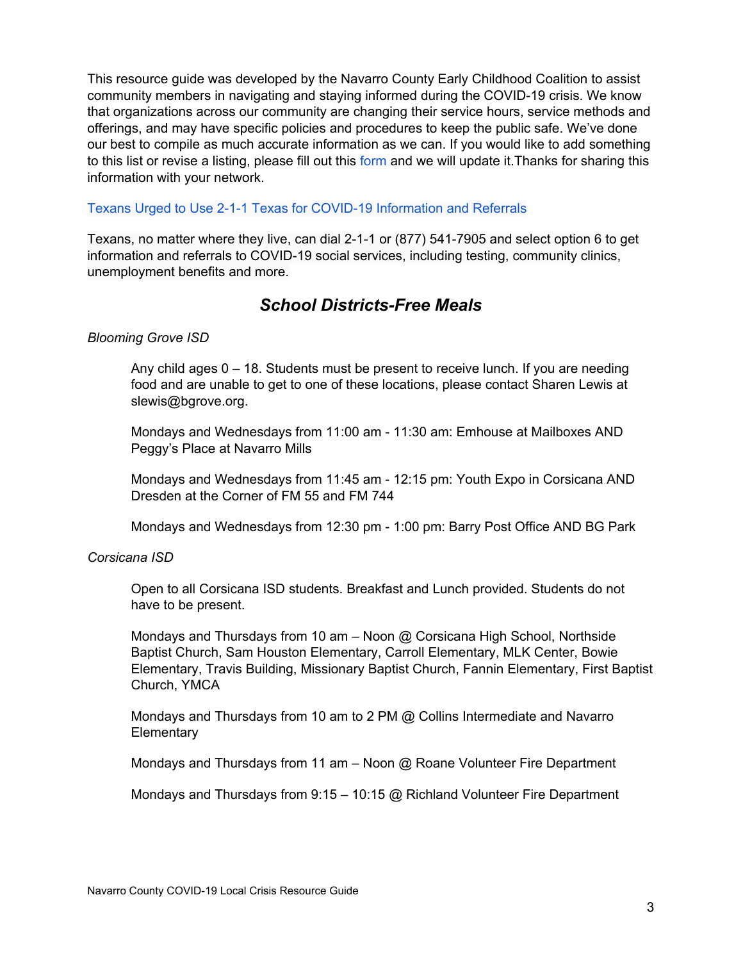This resource guide was developed by the Navarro County Early Childhood Coalition to assist community members in navigating and staying informed during the COVID-19 crisis. We know that organizations across our community are changing their service hours, service methods and offerings, and may have specific policies and procedures to keep the public safe. We've done our best to compile as much accurate information as we can. If you would like to add something to this list or revise a listing, please fill out this [form](https://docs.google.com/forms/d/e/1FAIpQLSfxW2FWN1OsBZbA0tpw3cODgvRE_CTrr9F-JU1PqMlhDA9Mmw/viewform) and we will update it.Thanks for sharing this information with your network.

#### Texans Urged to Use 2-1-1 Texas for COVID-19 [Information](https://hhs.texas.gov/about-hhs/communications-events/news/2020/03/texans-urged-use-2-1-1-texas-covid-19-information-referrals?fbclid=IwAR00tmeEhMjk_hOuTTaa6jH0eLC_r9gosr_3elMIuMqsAG049AEoKLt5lR4) and Referrals

Texans, no matter where they live, can dial 2-1-1 or (877) 541-7905 and select option 6 to get information and referrals to COVID-19 social services, including testing, community clinics, unemployment benefits and more.

# *School Districts-Free Meals*

#### <span id="page-2-1"></span><span id="page-2-0"></span>*Blooming Grove ISD*

Any child ages  $0 - 18$ . Students must be present to receive lunch. If you are needing food and are unable to get to one of these locations, please contact Sharen Lewis at slewis@bgrove.org.

Mondays and Wednesdays from 11:00 am - 11:30 am: Emhouse at Mailboxes AND Peggy's Place at Navarro Mills

Mondays and Wednesdays from 11:45 am - 12:15 pm: Youth Expo in Corsicana AND Dresden at the Corner of FM 55 and FM 744

Mondays and Wednesdays from 12:30 pm - 1:00 pm: Barry Post Office AND BG Park

#### <span id="page-2-2"></span>*Corsicana ISD*

Open to all Corsicana ISD students. Breakfast and Lunch provided. Students do not have to be present.

Mondays and Thursdays from 10 am – Noon @ Corsicana High School, Northside Baptist Church, Sam Houston Elementary, Carroll Elementary, MLK Center, Bowie Elementary, Travis Building, Missionary Baptist Church, Fannin Elementary, First Baptist Church, YMCA

Mondays and Thursdays from 10 am to 2 PM @ Collins Intermediate and Navarro **Elementary** 

Mondays and Thursdays from 11 am – Noon @ Roane Volunteer Fire Department

Mondays and Thursdays from 9:15 – 10:15 @ Richland Volunteer Fire Department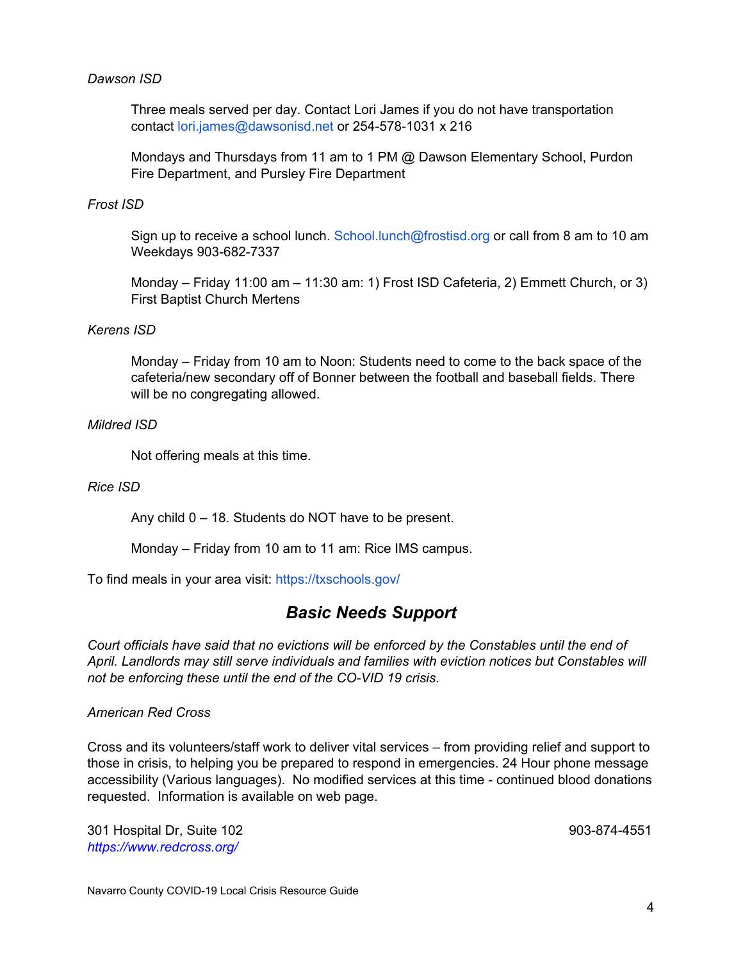#### <span id="page-3-0"></span>*Dawson ISD*

Three meals served per day. Contact Lori James if you do not have transportation contact [lori.james@dawsonisd.net](mailto:lori.james@dawsonisd.net) or 254-578-1031 x 216

Mondays and Thursdays from 11 am to 1 PM @ Dawson Elementary School, Purdon Fire Department, and Pursley Fire Department

#### <span id="page-3-1"></span>*Frost ISD*

Sign up to receive a school lunch. [School.lunch@frostisd.org](mailto:School.lunch@frostisd.org) or call from 8 am to 10 am Weekdays 903-682-7337

Monday – Friday 11:00 am – 11:30 am: 1) Frost ISD Cafeteria, 2) Emmett Church, or 3) First Baptist Church Mertens

#### <span id="page-3-2"></span>*Kerens ISD*

Monday – Friday from 10 am to Noon: Students need to come to the back space of the cafeteria/new secondary off of Bonner between the football and baseball fields. There will be no congregating allowed.

#### <span id="page-3-3"></span>*Mildred ISD*

Not offering meals at this time.

<span id="page-3-4"></span>*Rice ISD*

Any child 0 – 18. Students do NOT have to be present.

Monday – Friday from 10 am to 11 am: Rice IMS campus.

<span id="page-3-5"></span>To find meals in your area visit: <https://txschools.gov/>

# *Basic Needs Support*

*Court officials have said that no evictions will be enforced by the Constables until the end of April. Landlords may still serve individuals and families with eviction notices but Constables will not be enforcing these until the end of the CO-VID 19 crisis.*

#### <span id="page-3-6"></span>*American Red Cross*

Cross and its volunteers/staff work to deliver vital services – from providing relief and support to those in crisis, to helping you be prepared to respond in emergencies. 24 Hour phone message accessibility (Various languages). No modified services at this time - continued blood donations requested. Information is available on web page.

301 Hospital Dr, Suite 102 903-874-4551 *<https://www.redcross.org/>*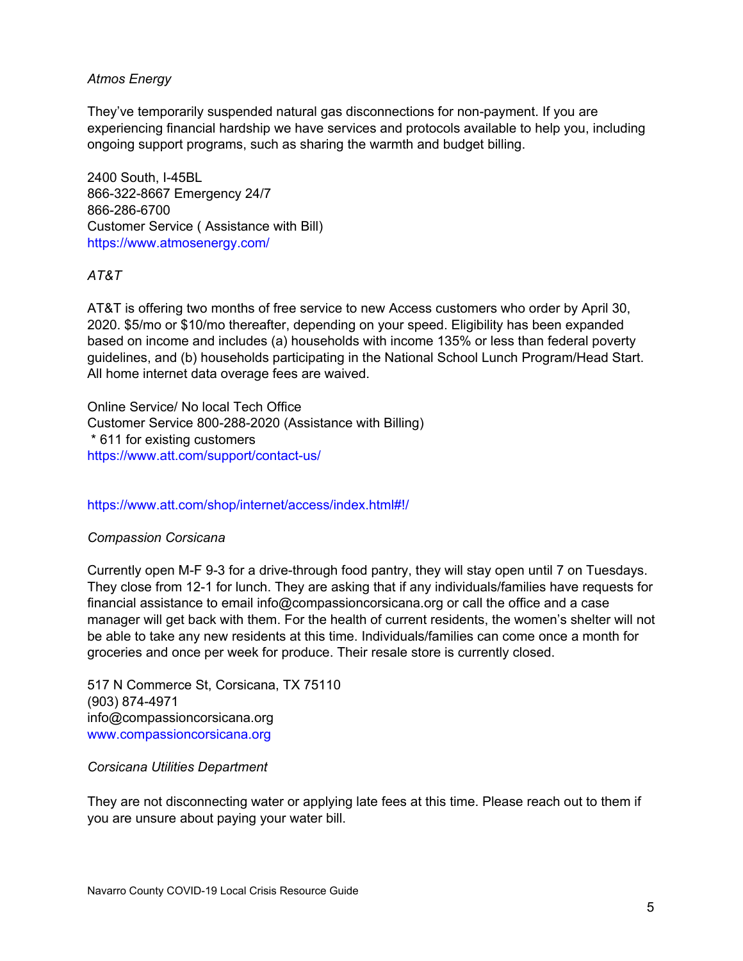### <span id="page-4-0"></span>*Atmos Energy*

They've temporarily suspended natural gas disconnections for non-payment. If you are experiencing financial hardship we have services and protocols available to help you, including ongoing support programs, such as sharing the warmth and budget billing.

2400 South, I-45BL 866-322-8667 Emergency 24/7 866-286-6700 Customer Service ( Assistance with Bill) <https://www.atmosenergy.com/>

# <span id="page-4-1"></span>*AT&T*

AT&T is offering two months of free service to new Access customers who order by April 30, 2020. \$5/mo or \$10/mo thereafter, depending on your speed. Eligibility has been expanded based on income and includes (a) households with income 135% or less than federal poverty guidelines, and (b) households participating in the National School Lunch Program/Head Start. All home internet data overage fees are waived.

Online Service/ No local Tech Office Customer Service 800-288-2020 (Assistance with Billing) \* 611 for existing customers <https://www.att.com/support/contact-us/>

#### <https://www.att.com/shop/internet/access/index.html#!/>

#### <span id="page-4-2"></span>*Compassion Corsicana*

Currently open M-F 9-3 for a drive-through food pantry, they will stay open until 7 on Tuesdays. They close from 12-1 for lunch. They are asking that if any individuals/families have requests for financial assistance to email info@compassioncorsicana.org or call the office and a case manager will get back with them. For the health of current residents, the women's shelter will not be able to take any new residents at this time. Individuals/families can come once a month for groceries and once per week for produce. Their resale store is currently closed.

517 N Commerce St, Corsicana, TX 75110 (903) 874-4971 info@compassioncorsicana.org [www.compassioncorsicana.org](http://www.compassioncorsicana.org/)

#### <span id="page-4-3"></span>*Corsicana Utilities Department*

They are not disconnecting water or applying late fees at this time. Please reach out to them if you are unsure about paying your water bill.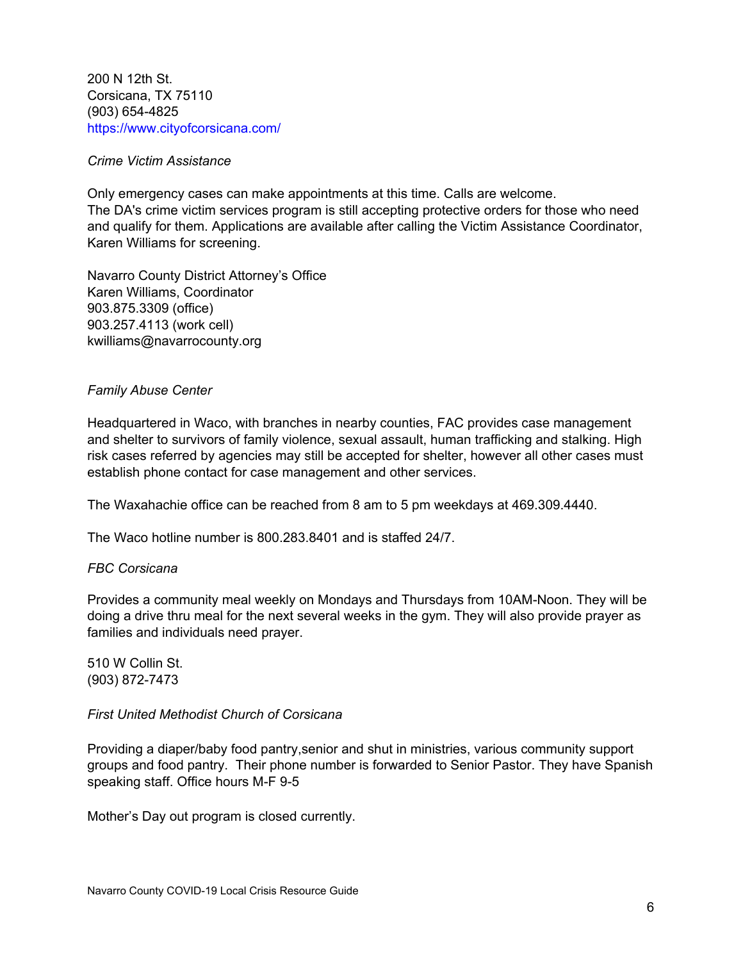200 N 12th St. Corsicana, TX 75110 (903) [654-4825](https://www.google.com/search?q=navarro%20county%20water%20department&oq=navarro+county+water+department&aqs=chrome..69i57.7275j0j4&sourceid=chrome&ie=UTF-8&sxsrf=ALeKk03MIp82kS52QpANs39CjIe-Z2qbpA:1585075000841&npsic=0&rflfq=1&rlha=0&rllag=32087270,-96484516,3240&tbm=lcl&rldimm=4406685579120412678&lqi=Ch9uYXZhcnJvIGNvdW50eSB3YXRlciBkZXBhcnRtZW50SJa-uOLlgICACFo9ChB3YXRlciBkZXBhcnRtZW50EAIQAxgBGAIYAyIfbmF2YXJybyBjb3VudHkgd2F0ZXIgZGVwYXJ0bWVudA&ved=2ahUKEwiZ4_fC4LPoAhVEaq0KHZkTAt8QvS4wAHoECAsQKw&rldoc=1&tbs=lrf:!1m5!1u8!2m3!8m2!1u8050!3e1!1m4!1u17!2m2!17m1!1e2!1m4!1u3!2m2!3m1!1e1!1m4!1u2!2m2!2m1!1e1!1m4!1u16!2m2!16m1!1e1!1m4!1u16!2m2!16m1!1e2!2m4!1e17!4m2!17m1!1e2!2m1!1e2!2m1!1e16!2m1!1e3!3sIAE,lf:1,lf_ui:2&rlst=f) <https://www.cityofcorsicana.com/>

#### <span id="page-5-0"></span>*Crime Victim Assistance*

Only emergency cases can make appointments at this time. Calls are welcome. The DA's crime victim services program is still accepting protective orders for those who need and qualify for them. Applications are available after calling the Victim Assistance Coordinator, Karen Williams for screening.

Navarro County District Attorney's Office Karen Williams, Coordinator 903.875.3309 (office) 903.257.4113 (work cell) [kwilliams@navarrocounty.org](mailto:kwilliams@navarrocounty.org)

#### <span id="page-5-1"></span>*Family Abuse Center*

Headquartered in Waco, with branches in nearby counties, FAC provides case management and shelter to survivors of family violence, sexual assault, human trafficking and stalking. High risk cases referred by agencies may still be accepted for shelter, however all other cases must establish phone contact for case management and other services.

The Waxahachie office can be reached from 8 am to 5 pm weekdays at 469.309.4440.

The Waco hotline number is 800.283.8401 and is staffed 24/7.

# <span id="page-5-2"></span>*FBC Corsicana*

Provides a community meal weekly on Mondays and Thursdays from 10AM-Noon. They will be doing a drive thru meal for the next several weeks in the gym. They will also provide prayer as families and individuals need prayer.

510 W Collin St. (903) [872-7473](https://www.google.com/search?q=fbc+corsicana&oq=fbc+corsicana&aqs=chrome..69i57j0l2j69i60.2618j0j7&sourceid=chrome&ie=UTF-8#)

<span id="page-5-3"></span>*First United Methodist Church of Corsicana*

Providing a diaper/baby food pantry,senior and shut in ministries, various community support groups and food pantry. Their phone number is forwarded to Senior Pastor. They have Spanish speaking staff. Office hours M-F 9-5

Mother's Day out program is closed currently.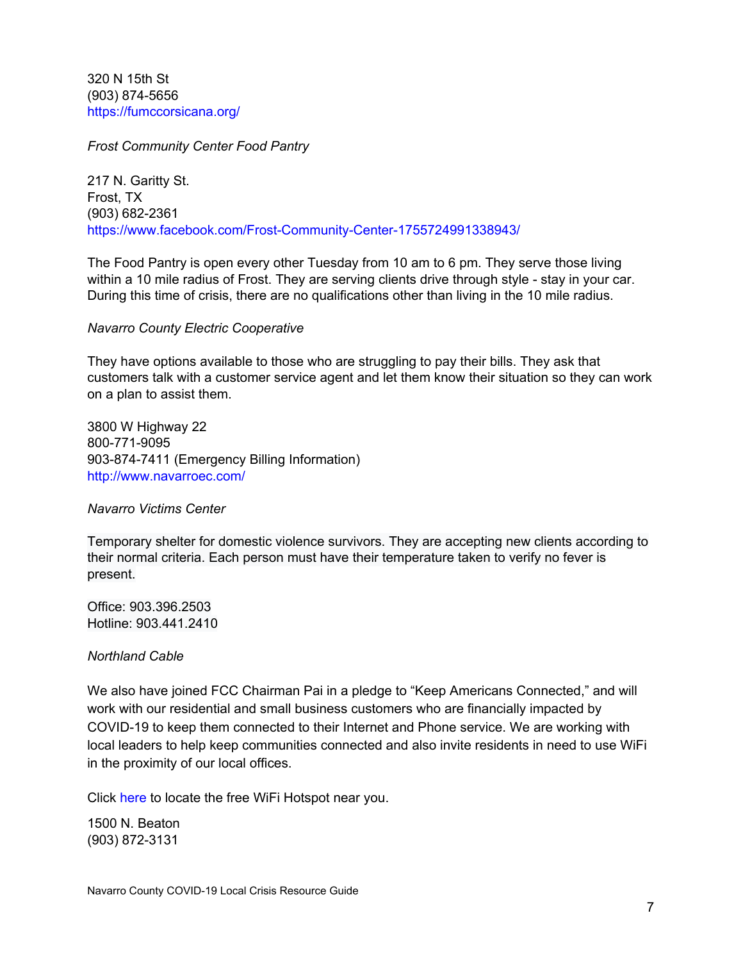320 N 15th St (903) 874-5656 <https://fumccorsicana.org/>

<span id="page-6-0"></span>*Frost Community Center Food Pantry*

217 N. Garitty St. Frost, TX (903) 682-2361 <https://www.facebook.com/Frost-Community-Center-1755724991338943/>

The Food Pantry is open every other Tuesday from 10 am to 6 pm. They serve those living within a 10 mile radius of Frost. They are serving clients drive through style - stay in your car. During this time of crisis, there are no qualifications other than living in the 10 mile radius.

#### <span id="page-6-1"></span>*Navarro County Electric Cooperative*

They have options available to those who are struggling to pay their bills. They ask that customers talk with a customer service agent and let them know their situation so they can work on a plan to assist them.

3800 W Highway 22 800-771-9095 903-874-7411 (Emergency Billing Information) <http://www.navarroec.com/>

<span id="page-6-2"></span>*Navarro Victims Center*

Temporary shelter for domestic violence survivors. They are accepting new clients according to their normal criteria. Each person must have their temperature taken to verify no fever is present.

Office: 903.396.2503 Hotline: 903.441.2410

<span id="page-6-3"></span>*Northland Cable*

We also have joined FCC Chairman Pai in a pledge to "Keep Americans [Connected,](https://docs.fcc.gov/public/attachments/DOC-363033A1.pdf)" and will work with our residential and small business customers who are financially impacted by COVID-19 to keep them connected to their Internet and Phone service. We are working with local leaders to help keep communities connected and also invite residents in need to use WiFi in the proximity of our local offices.

[Click](https://www.vyvebroadband.com/free-wifi/) [here](https://www.vyvebroadband.com/free-wifi/) to locate the free WiFi [Hotspot](https://www.vyvebroadband.com/free-wifi/) near you.

1500 N. Beaton (903) 872-3131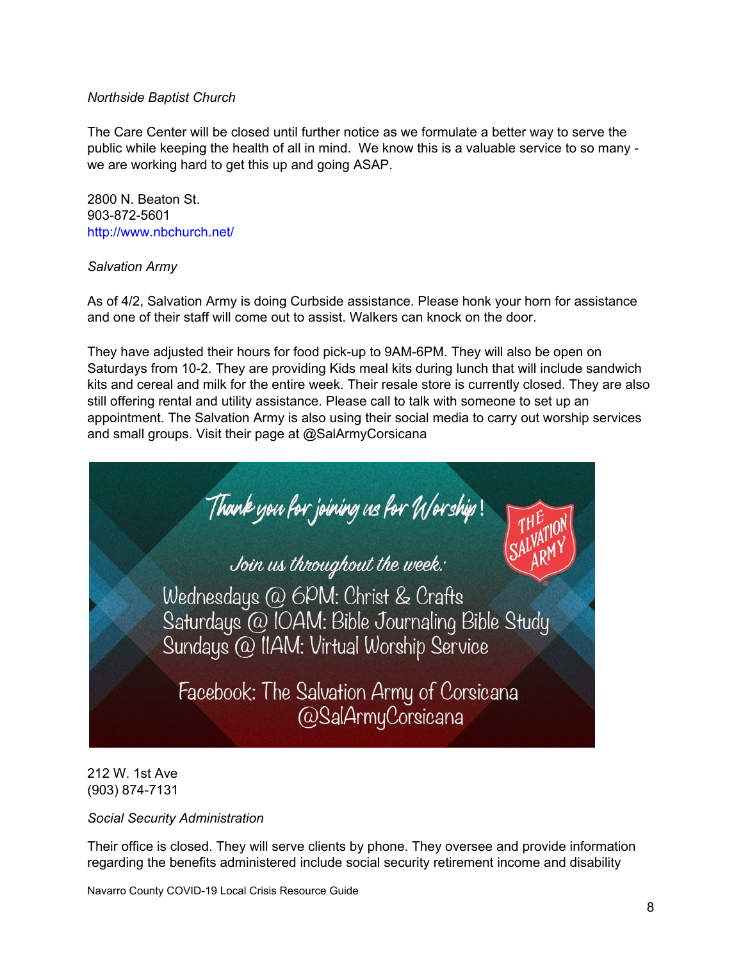# <span id="page-7-0"></span>*Northside Baptist Church*

The Care Center will be closed until further notice as we formulate a better way to serve the public while keeping the health of all in mind. We know this is a valuable service to so many we are working hard to get this up and going ASAP.

2800 N. Beaton St. 903-872-5601 <http://www.nbchurch.net/>

# <span id="page-7-1"></span>*Salvation Army*

As of 4/2, Salvation Army is doing Curbside assistance. Please honk your horn for assistance and one of their staff will come out to assist. Walkers can knock on the door.

They have adjusted their hours for food pick-up to 9AM-6PM. They will also be open on Saturdays from 10-2. They are providing Kids meal kits during lunch that will include sandwich kits and cereal and milk for the entire week. Their resale store is currently closed. They are also still offering rental and utility assistance. Please call to talk with someone to set up an appointment. The Salvation Army is also using their social media to carry out worship services and small groups. Visit their page at @SalArmyCorsicana

Thank you for joining us for U/orship!<br>Join us throughout the week: Wednesdays @ 6PM: Christ & Crafts Saturdays @ IOAM: Bible Journaling Bible Study Sundays @ IIAM: Virtual Worship Service Facebook: The Salvation Army of Corsicana @SalArmyCorsicana

212 W. 1st Ave (903) 874-7131

<span id="page-7-2"></span>*Social Security Administration*

Their office is closed. They will serve clients by phone. They oversee and provide information regarding the benefits administered include social security retirement income and disability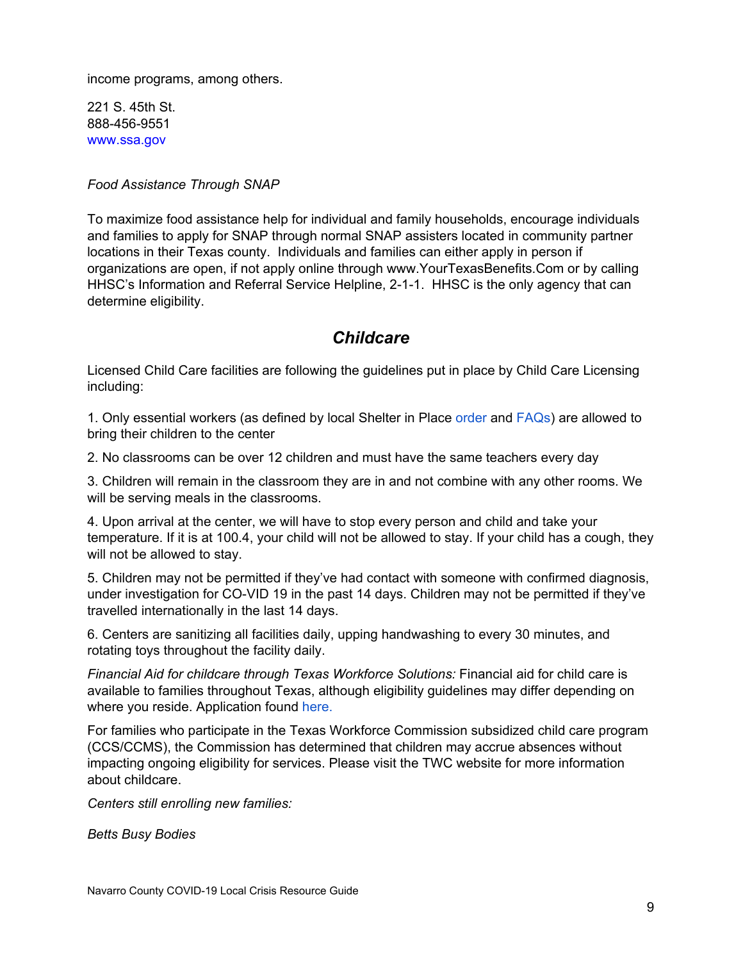income programs, among others.

221 S. 45th St. 888-456-9551 [www.ssa.gov](http://www.ssa.gov/)

<span id="page-8-0"></span>*Food Assistance Through SNAP*

To maximize food assistance help for individual and family households, encourage individuals and families to apply for SNAP through normal SNAP assisters located in community partner locations in their Texas county. Individuals and families can either apply in person if organizations are open, if not apply online through [www.YourTexasBenefits.Com](https://urldefense.proofpoint.com/v2/url?u=http-3A__www.YourTexasBenefits.Com&d=DwMFAg&c=r_tSStIHV2ie60z4DgB-pQ&r=Lv_g_eJFoATzXE2SFHZq7tPIF_3hNehsSx7rydma1Ek&m=CIlZGzQiUo2RufYKZhJiKEMiFPexB_5B9ejE6dUsPis&s=IRDE8RICptV1NIj5FbLp-NyrsKC9zzK3-QAYCZ30U8k&e=) or by calling HHSC's Information and Referral Service Helpline, 2-1-1. HHSC is the only agency that can determine eligibility.

# *Childcare*

<span id="page-8-1"></span>Licensed Child Care facilities are following the guidelines put in place by Child Care Licensing including:

1. Only essential workers (as defined by local Shelter in Place [order](https://drive.google.com/file/d/17bY_03YJ2RTs49LyhrDUdAr9H6FFfC0C/view) and [FAQs\)](https://www.cityofcorsicana.com/DocumentCenter/View/4012/Shelter-In-Place-FAQ?bidId=) are allowed to bring their children to the center

2. No classrooms can be over 12 children and must have the same teachers every day

3. Children will remain in the classroom they are in and not combine with any other rooms. We will be serving meals in the classrooms.

4. Upon arrival at the center, we will have to stop every person and child and take your temperature. If it is at 100.4, your child will not be allowed to stay. If your child has a cough, they will not be allowed to stay.

5. Children may not be permitted if they've had contact with someone with confirmed diagnosis, under investigation for CO-VID 19 in the past 14 days. Children may not be permitted if they've travelled internationally in the last 14 days.

6. Centers are sanitizing all facilities daily, upping handwashing to every 30 minutes, and rotating toys throughout the facility daily.

*Financial Aid for childcare through Texas Workforce Solutions:* Financial aid for child care is available to families throughout Texas, although eligibility guidelines may differ depending on where you reside. Application found [here.](https://dfwjobs.com/child-care/guidelines-to-apply-for-child-care-services)

For families who participate in the Texas Workforce Commission subsidized child care program (CCS/CCMS), the Commission has determined that children may accrue absences without impacting ongoing eligibility for services. Please visit the TWC website for more [information](https://twc.texas.gov/news/covid-19-resources-job-seekers#childCareEarlyLearningCovid1Information) about [childcare](https://twc.texas.gov/news/covid-19-resources-job-seekers#childCareEarlyLearningCovid1Information).

*Centers still enrolling new families:*

*Betts Busy Bodies*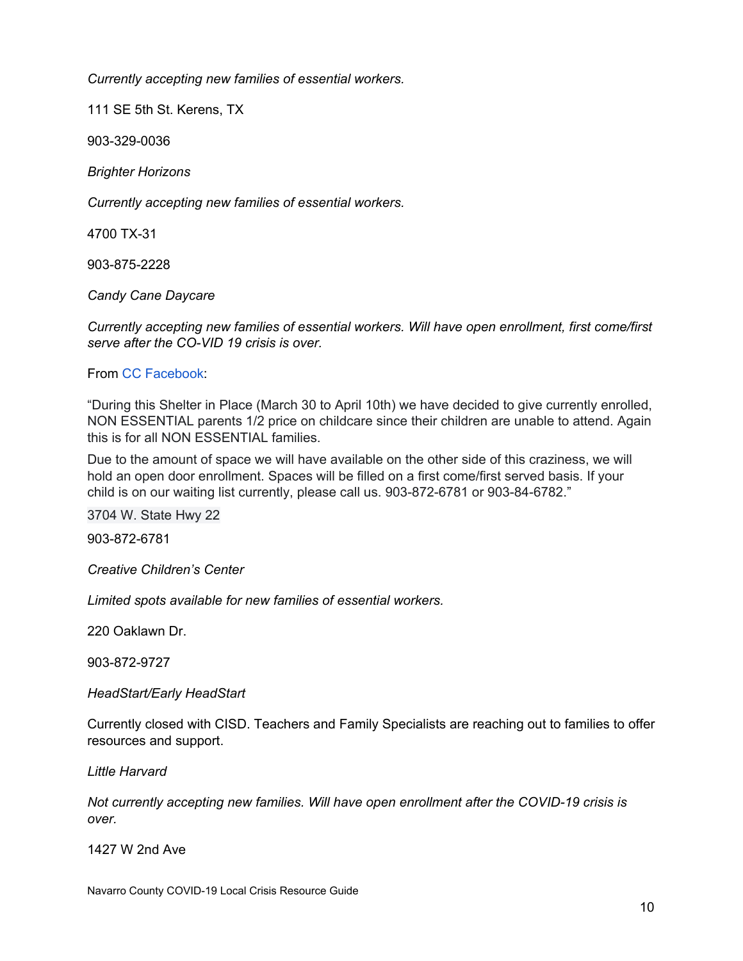*Currently accepting new families of essential workers.*

111 SE 5th St. Kerens, TX

903-329-0036

*Brighter Horizons*

*Currently accepting new families of essential workers.*

4700 TX-31

903-875-2228

*Candy Cane Daycare*

*Currently accepting new families of essential workers. Will have open enrollment, first come/first serve after the CO-VID 19 crisis is over.*

# From CC [Facebook:](https://www.facebook.com/Candy-Cane-Corner-Corsicana-147349675374740/?__tn__=kC-R&eid=ARCC2mU2jr5EzsYqg04VlgpwhWVkJfB_-ksWlIzkbr6w8MTKbuyHMPllIXf2gPFFXtSLpcTU9YTxAEiE&hc_ref=ARQ2LrXLLW5vfF3D2koQePC5jMdDlSh20haW-Iq2fGRzPMia938cm9tK920pdfHGVZw&fref=nf&__xts__[0]=68.ARD0wp_t8seZEvqsS4D5MoL0eakdik-1PQ5eOwe7VLyeeq6stnbng4Km2kreCTnnPvL1i5zB1V1qK-K3JR2brxeWiMjN1oL8c9tssgKI9IZ-CVecczUiRIfxoLLrKIsGSoVv35DQQgeA1Wnd26cPrqTRuG8loSIHZI2H2MhhfolcZduBC2WuiNlfdh1oxRnMY8FmxKx-_Q2Vu-Nh9s-pZIZYHf5C2X9JSW3OpsqXsaIJdubc26XgMuOtjKptczupXo8gh11jWcfc_4_ANtjJ17iLChsB4O5VZf-ipkBdUCvypx6wczjcjBh60K_lpiNlntYuNz8veqLsaqeZrxR_VDdDYZkXOzgZEEVD1tXOmr_mFHEXsug)

"During this Shelter in Place (March 30 to April 10th) we have decided to give currently enrolled, NON ESSENTIAL parents 1/2 price on childcare since their children are unable to attend. Again this is for all NON ESSENTIAL families.

Due to the amount of space we will have available on the other side of this craziness, we will hold an open door enrollment. Spaces will be filled on a first come/first served basis. If your child is on our waiting list currently, please call us. 903-872-6781 or 903-84-6782."

3704 W. State Hwy 22

903-872-6781

*Creative Children's Center*

*Limited spots available for new families of essential workers.*

220 Oaklawn Dr.

903-872-9727

*HeadStart/Early HeadStart*

Currently closed with CISD. Teachers and Family Specialists are reaching out to families to offer resources and support.

*Little Harvard*

*Not currently accepting new families. Will have open enrollment after the COVID-19 crisis is over.*

1427 W 2nd Ave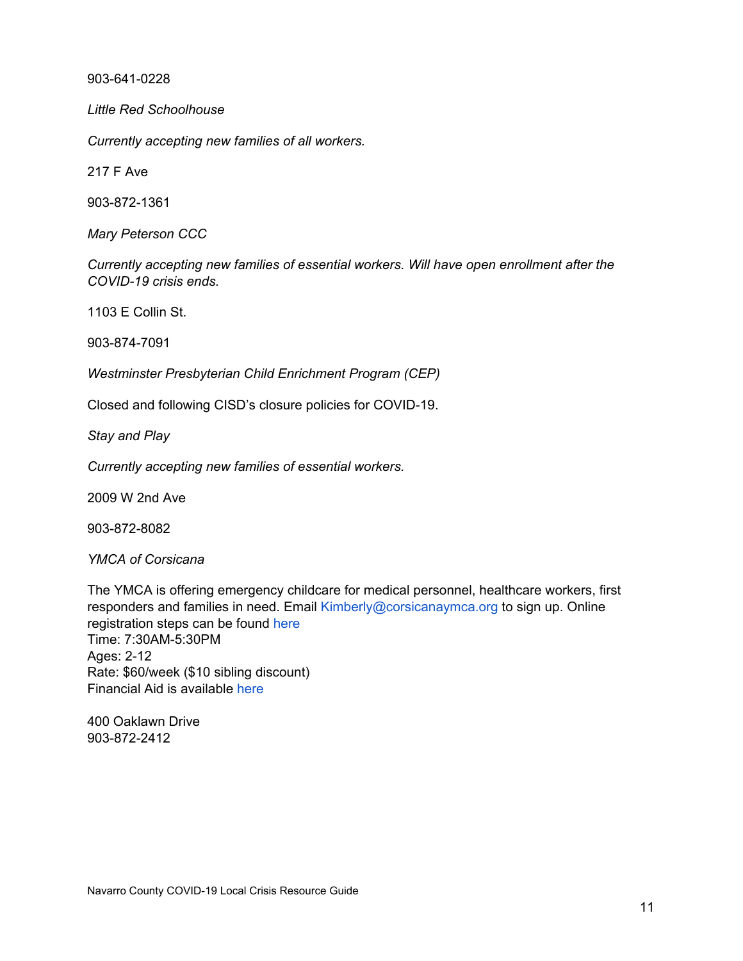903-641-0228

*Little Red Schoolhouse*

*Currently accepting new families of all workers.*

217 F Ave

903-872-1361

*Mary Peterson CCC*

*Currently accepting new families of essential workers. Will have open enrollment after the COVID-19 crisis ends.*

1103 E Collin St.

903-874-7091

*Westminster Presbyterian Child Enrichment Program (CEP)*

Closed and following CISD's closure policies for COVID-19.

*Stay and Play*

*Currently accepting new families of essential workers.*

2009 W 2nd Ave

903-872-8082

*YMCA of Corsicana*

The YMCA is offering emergency childcare for medical personnel, healthcare workers, first responders and families in need. Email [Kimberly@corsicanaymca.org](mailto:Kimberly@corsicanaymca.org) to sign up. Online registration steps can be found [here](https://www.facebook.com/photo?fbid=10156682420052016&set=pcb.10156682428727016) Time: 7:30AM-5:30PM Ages: 2-12 Rate: \$60/week (\$10 sibling discount) Financial Aid is available [here](https://corsicanaymca.org/financial-assistance-form/)

400 Oaklawn Drive 903-872-2412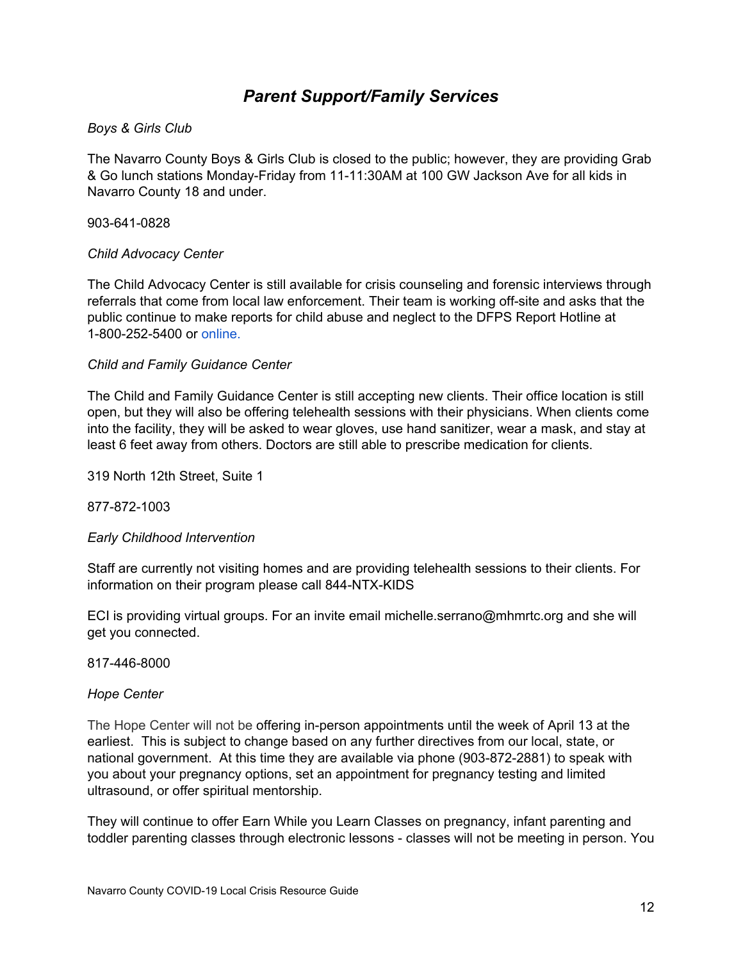# *Parent Support/Family Services*

# <span id="page-11-1"></span><span id="page-11-0"></span>*Boys & Girls Club*

The Navarro County Boys & Girls Club is closed to the public; however, they are providing Grab & Go lunch stations Monday-Friday from 11-11:30AM at 100 GW Jackson Ave for all kids in Navarro County 18 and under.

### 903-641-0828

# <span id="page-11-2"></span>*Child Advocacy Center*

The Child Advocacy Center is still available for crisis counseling and forensic interviews through referrals that come from local law enforcement. Their team is working off-site and asks that the public continue to make reports for child abuse and neglect to the DFPS Report Hotline at 1-800-252-5400 or [online.](https://www.txabusehotline.org/Login/Default.aspx)

#### <span id="page-11-3"></span>*Child and Family Guidance Center*

The Child and Family Guidance Center is still accepting new clients. Their office location is still open, but they will also be offering telehealth sessions with their physicians. When clients come into the facility, they will be asked to wear gloves, use hand sanitizer, wear a mask, and stay at least 6 feet away from others. Doctors are still able to prescribe medication for clients.

319 North 12th Street, Suite 1

877-872-1003

# <span id="page-11-4"></span>*Early Childhood Intervention*

Staff are currently not visiting homes and are providing telehealth sessions to their clients. For information on their program please call 844-NTX-KIDS

ECI is providing virtual groups. For an invite email [michelle.serrano@mhmrtc.org](mailto:michelle.serrano@mhmrtc.org) and she will get you connected.

#### <span id="page-11-5"></span>817-446-8000

#### *Hope Center*

The Hope Center will not be offering in-person appointments until the week of April 13 at the earliest. This is subject to change based on any further directives from our local, state, or national government. At this time they are available via phone (903-872-2881) to speak with you about your pregnancy options, set an appointment for pregnancy testing and limited ultrasound, or offer spiritual mentorship.

They will continue to offer Earn While you Learn Classes on pregnancy, infant parenting and toddler parenting classes through electronic lessons - classes will not be meeting in person. You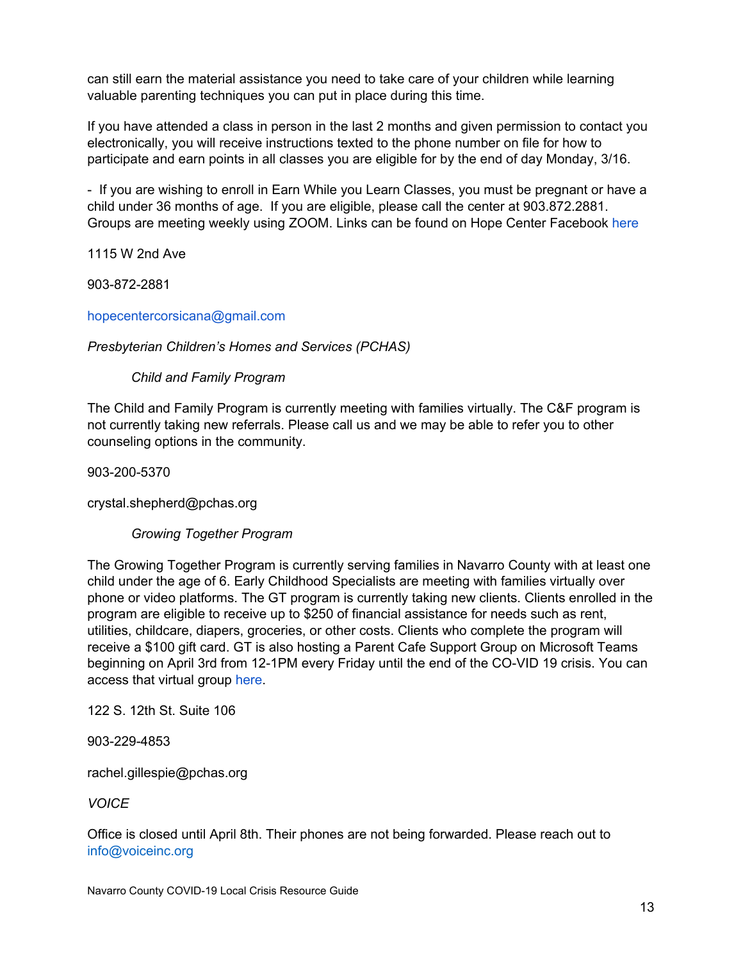can still earn the material assistance you need to take care of your children while learning valuable parenting techniques you can put in place during this time.

If you have attended a class in person in the last 2 months and given permission to contact you electronically, you will receive instructions texted to the phone number on file for how to participate and earn points in all classes you are eligible for by the end of day Monday, 3/16.

- If you are wishing to enroll in Earn While you Learn Classes, you must be pregnant or have a child under 36 months of age. If you are eligible, please call the center at 903.872.2881. Groups are meeting weekly using ZOOM. Links can be found on Hope Center Facebook [here](https://www.facebook.com/hopecenterofcorsicana)

1115 W 2nd Ave

903-872-2881

[hopecentercorsicana@gmail.com](mailto:hopecentercorsicana@gmail.com)

# <span id="page-12-0"></span>*Presbyterian Children's Homes and Services (PCHAS)*

*Child and Family Program*

The Child and Family Program is currently meeting with families virtually. The C&F program is not currently taking new referrals. Please call us and we may be able to refer you to other counseling options in the community.

903-200-5370

crystal.shepherd@pchas.org

*Growing Together Program*

The Growing Together Program is currently serving families in Navarro County with at least one child under the age of 6. Early Childhood Specialists are meeting with families virtually over phone or video platforms. The GT program is currently taking new clients. Clients enrolled in the program are eligible to receive up to \$250 of financial assistance for needs such as rent, utilities, childcare, diapers, groceries, or other costs. Clients who complete the program will receive a \$100 gift card. GT is also hosting a Parent Cafe Support Group on Microsoft Teams beginning on April 3rd from 12-1PM every Friday until the end of the CO-VID 19 crisis. You can access that virtual group [here](https://bit.ly/2WHabyz).

122 S. 12th St. Suite 106

903-229-4853

rachel.gillespie@pchas.org

<span id="page-12-1"></span>*VOICE*

Office is closed until April 8th. Their phones are not being forwarded. Please reach out to info@voiceinc.org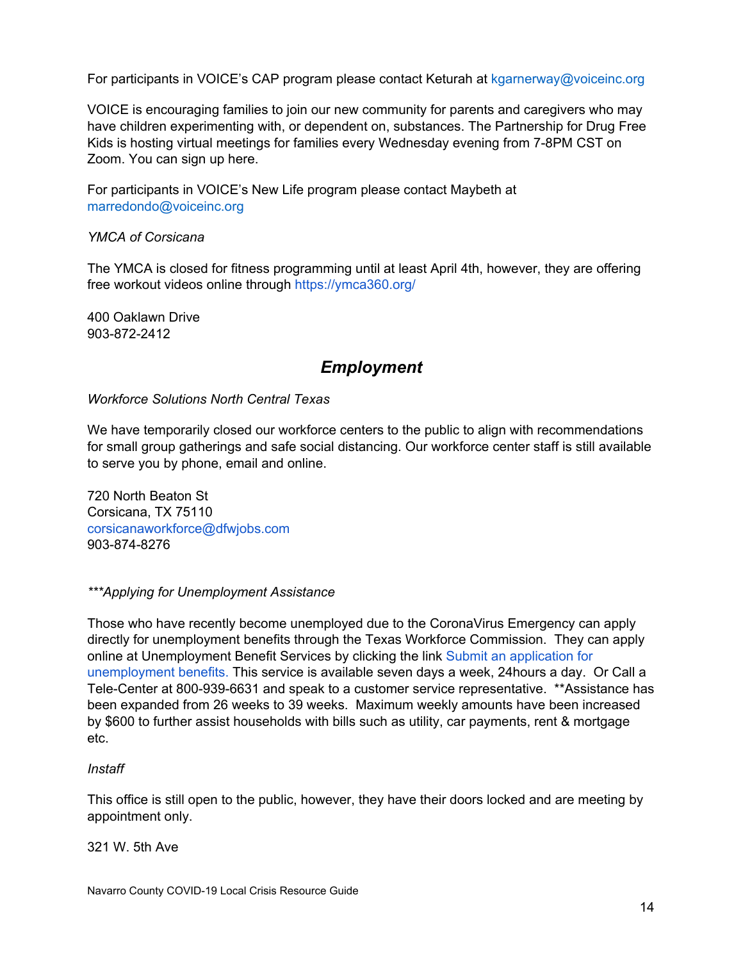For participants in VOICE's CAP program please contact Keturah at kgarnerway@voiceinc.org

VOICE is encouraging families to join our new community for parents and caregivers who may have children experimenting with, or dependent on, substances. The Partnership for Drug Free Kids is hosting virtual meetings for families every Wednesday evening from 7-8PM CST on Zoom. You can sign up [here.](https://zoom.us/meeting/register/u5AkcO-prjooPN897VVIDdmg5iem4lyMLA?fbclid=IwAR3NnPoSoMO1Iy5MOJfkHHI2862DTF8p2nTo1E_rYs_CDYu2tA8KTVZvq-4)

For participants in VOICE's New Life program please contact Maybeth at marredondo@voiceinc.org

#### <span id="page-13-0"></span>*YMCA of Corsicana*

The YMCA is closed for fitness programming until at least April 4th, however, they are offering free workout videos online through <https://ymca360.org/>

<span id="page-13-1"></span>400 Oaklawn Drive 903-872-2412

# *Employment*

<span id="page-13-2"></span>*Workforce Solutions North Central Texas*

We have temporarily closed our workforce centers to the public to align with recommendations for small group gatherings and safe social distancing. Our workforce center staff is still available to serve you by phone, email and online.

720 North Beaton St Corsicana, TX 75110 [corsicanaworkforce@dfwjobs.com](mailto:corsicanaworkforce@dfwjobs.com) 903-874-8276

#### <span id="page-13-3"></span>*\*\*\*Applying for Unemployment Assistance*

Those who have recently become unemployed due to the CoronaVirus Emergency can apply directly for unemployment benefits through the Texas Workforce Commission. They can apply online at Unemployment Benefit Services by clicking the link Submit an [application](https://twc.texas.gov/jobseekers/unemployment-benefits-services) for [unemployment](https://twc.texas.gov/jobseekers/unemployment-benefits-services) benefits. This service is available seven days a week, 24hours a day. Or Call a Tele-Center at 800-939-6631 and speak to a customer service representative. \*\*Assistance has been expanded from 26 weeks to 39 weeks. Maximum weekly amounts have been increased by \$600 to further assist households with bills such as utility, car payments, rent & mortgage etc.

#### <span id="page-13-4"></span>*Instaff*

This office is still open to the public, however, they have their doors locked and are meeting by appointment only.

321 W. 5th Ave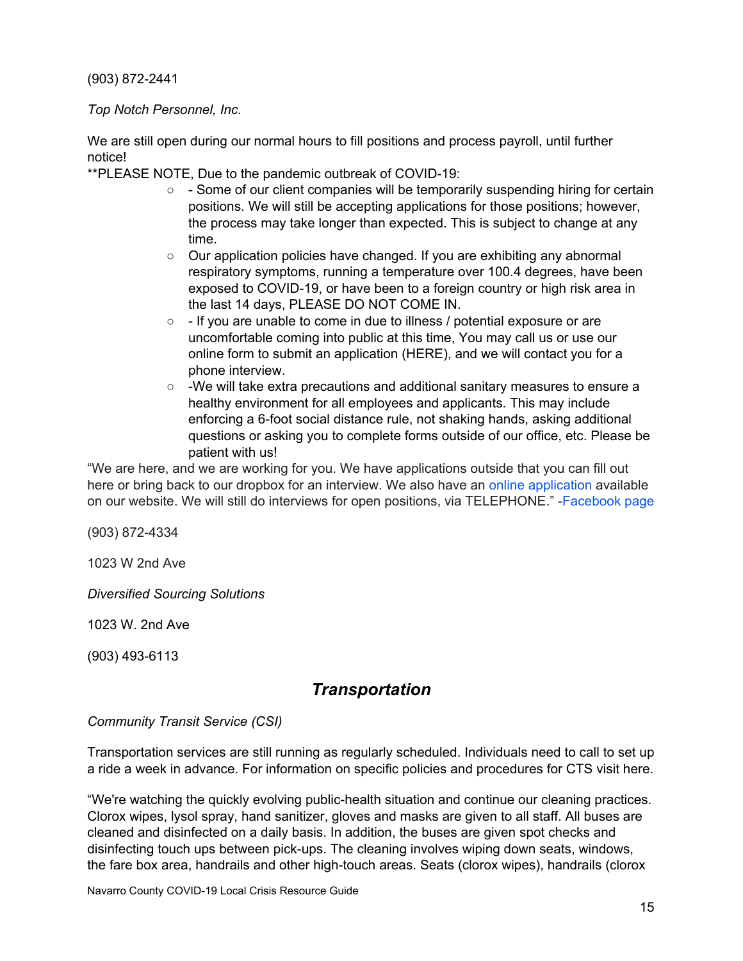(903) 872-2441

<span id="page-14-0"></span>*Top Notch Personnel, Inc.*

We are still open during our normal hours to fill positions and process payroll, until further notice!

\*\*PLEASE NOTE, Due to the pandemic outbreak of COVID-19:

- $\circ$  Some of our client companies will be temporarily suspending hiring for certain positions. We will still be accepting applications for those positions; however, the process may take longer than expected. This is subject to change at any time.
- Our application policies have changed. If you are exhibiting any abnormal respiratory symptoms, running a temperature over 100.4 degrees, have been exposed to COVID-19, or have been to a foreign country or high risk area in the last 14 days, PLEASE DO NOT COME IN.
- - If you are unable to come in due to illness / potential exposure or are uncomfortable coming into public at this time, You may call us or use our online form to submit an application [\(HERE\)](https://www.topnotchpersonnel.com/how-to-apply), and we will contact you for a phone interview.
- -We will take extra precautions and additional sanitary measures to ensure a healthy environment for all employees and applicants. This may include enforcing a 6-foot social distance rule, not shaking hands, asking additional questions or asking you to complete forms outside of our office, etc. Please be patient with us!

"We are here, and we are working for you. We have applications outside that you can fill out here or bring back to our dropbox for an interview. We also have an online [application](https://www.topnotchpersonnel.com/online-application) available on our website. We will still do interviews for open positions, via TELEPHONE." -[Facebook](https://www.facebook.com/Top-Notch-Personnel-Inc-152251204802946/) page

(903) 872-4334

1023 W 2nd Ave

<span id="page-14-1"></span>*Diversified Sourcing Solutions*

1023 W. 2nd Ave

<span id="page-14-2"></span>(903) 493-6113

# *Transportation*

#### *Community Transit Service (CSI)*

Transportation services are still running as regularly scheduled. Individuals need to call to set up a ride a week in advance. For information on specific policies and procedures for CTS visit [here.](http://www.csicorsicana.org/wp-content/uploads/2020/02/2020-CTS-Passenger-Guide-English-Version.pdf)

"We're watching the quickly evolving public-health situation and continue our cleaning practices. Clorox wipes, lysol spray, hand sanitizer, gloves and masks are given to all staff. All buses are cleaned and disinfected on a daily basis. In addition, the buses are given spot checks and disinfecting touch ups between pick-ups. The cleaning involves wiping down seats, windows, the fare box area, handrails and other high-touch areas. Seats (clorox wipes), handrails (clorox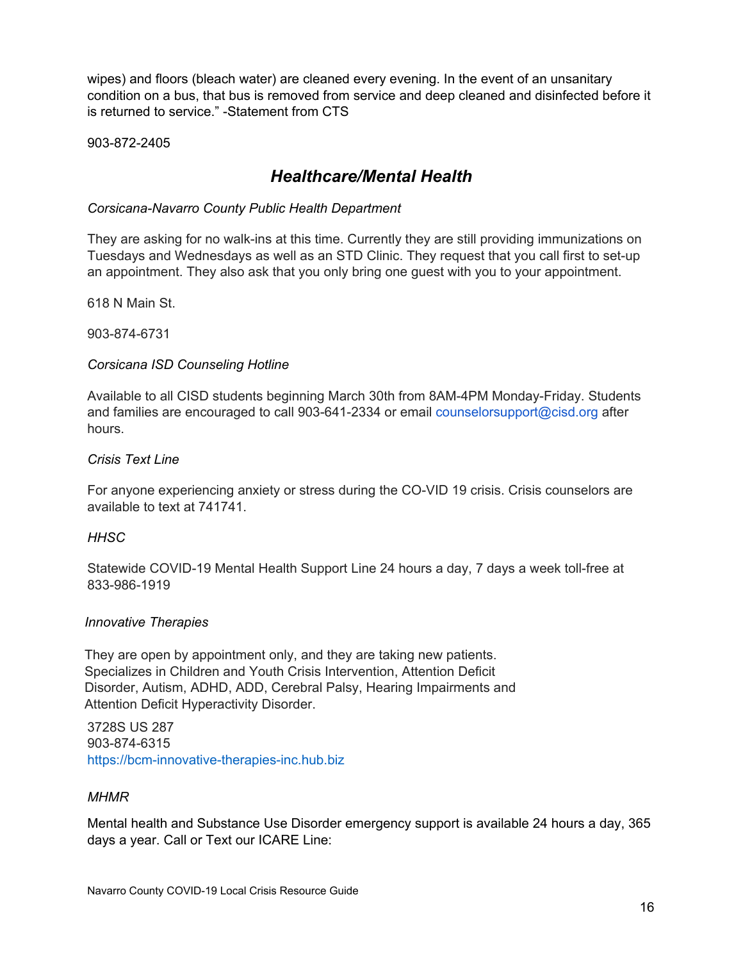wipes) and floors (bleach water) are cleaned every evening. In the event of an unsanitary condition on a bus, that bus is removed from service and deep cleaned and disinfected before it is returned to service." -Statement from CTS

<span id="page-15-0"></span>903-872-2405

# *Healthcare/Mental Health*

# <span id="page-15-1"></span>*Corsicana-Navarro County Public Health Department*

They are asking for no walk-ins at this time. Currently they are still providing immunizations on Tuesdays and Wednesdays as well as an STD Clinic. They request that you call first to set-up an appointment. They also ask that you only bring one guest with you to your appointment.

618 N Main St.

903-874-6731

# <span id="page-15-2"></span>*Corsicana ISD Counseling Hotline*

Available to all CISD students beginning March 30th from 8AM-4PM Monday-Friday. Students and families are encouraged to call 903-641-2334 or email [counselorsupport@cisd.org](mailto:counselorsupport@cisd.org) after hours.

# <span id="page-15-3"></span>*Crisis Text Line*

For anyone experiencing anxiety or stress during the CO-VID 19 crisis. Crisis counselors are available to text at 741741.

# <span id="page-15-4"></span>*HHSC*

Statewide COVID-19 Mental Health Support Line 24 hours a day, 7 days a week toll-free at 833-986-1919

# <span id="page-15-5"></span>*Innovative Therapies*

They are open by appointment only, and they are taking new patients. Specializes in Children and Youth Crisis Intervention, Attention Deficit Disorder, Autism, ADHD, ADD, Cerebral Palsy, Hearing Impairments and Attention Deficit Hyperactivity Disorder.

3728S US 287 903-874-6315 [https://bcm-innovative-therapies-inc.hub.biz](https://www.bing.com/search?q=bcm+innovative+therapies+in+corsicana&qs=SC&pq=bcminno&sk=SC1&sc=6-7&cvid=9E8BDADF31E94EDCACED4182FFD39EB3&FORM=QBRE&sp=2)

# <span id="page-15-6"></span>*MHMR*

Mental health and Substance Use Disorder emergency support is available 24 hours a day, 365 days a year. Call or Text our ICARE Line: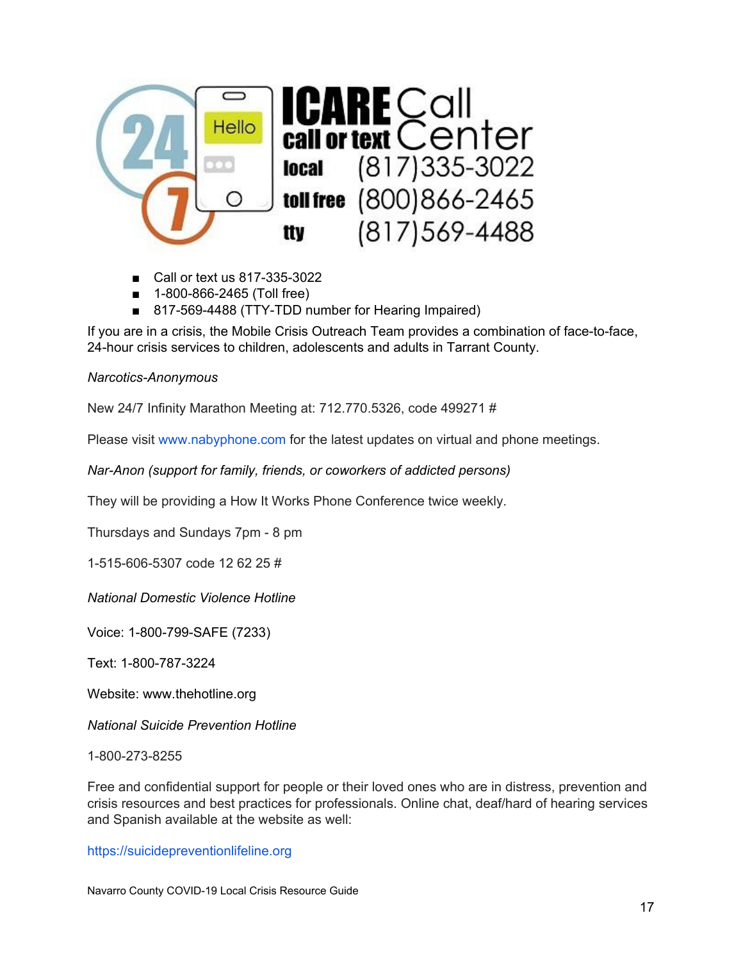

- Call or text us 817-335-3022
- 1-800-866-2465 (Toll free)
- 817-569-4488 (TTY-TDD number for Hearing Impaired)

If you are in a crisis, the Mobile Crisis Outreach Team provides a combination of face-to-face, 24-hour crisis services to children, adolescents and adults in Tarrant County.

#### <span id="page-16-0"></span>*Narcotics-Anonymous*

New 24/7 Infinity Marathon Meeting at: 712.770.5326, code 499271 #

Please visit [www.nabyphone.com](http://www.nabyphone.com/) for the latest updates on virtual and phone meetings.

<span id="page-16-1"></span>*Nar-Anon (support for family, friends, or coworkers of addicted persons)*

They will be providing a How It Works Phone Conference twice weekly.

Thursdays and Sundays 7pm - 8 pm

1-515-606-5307 code 12 62 25 #

<span id="page-16-2"></span>*National Domestic Violence Hotline*

Voice: 1-800-799-SAFE (7233)

Text: 1-800-787-3224

Website: [www.thehotline.org](http://www.thehotline.org/)

<span id="page-16-3"></span>*National Suicide Prevention Hotline*

1-800-273-8255

Free and confidential support for people or their loved ones who are in distress, prevention and crisis resources and best practices for professionals. Online chat, deaf/hard of hearing services and Spanish available at the website as well:

[https://suicidepreventionlifeline.org](https://suicidepreventionlifeline.org/)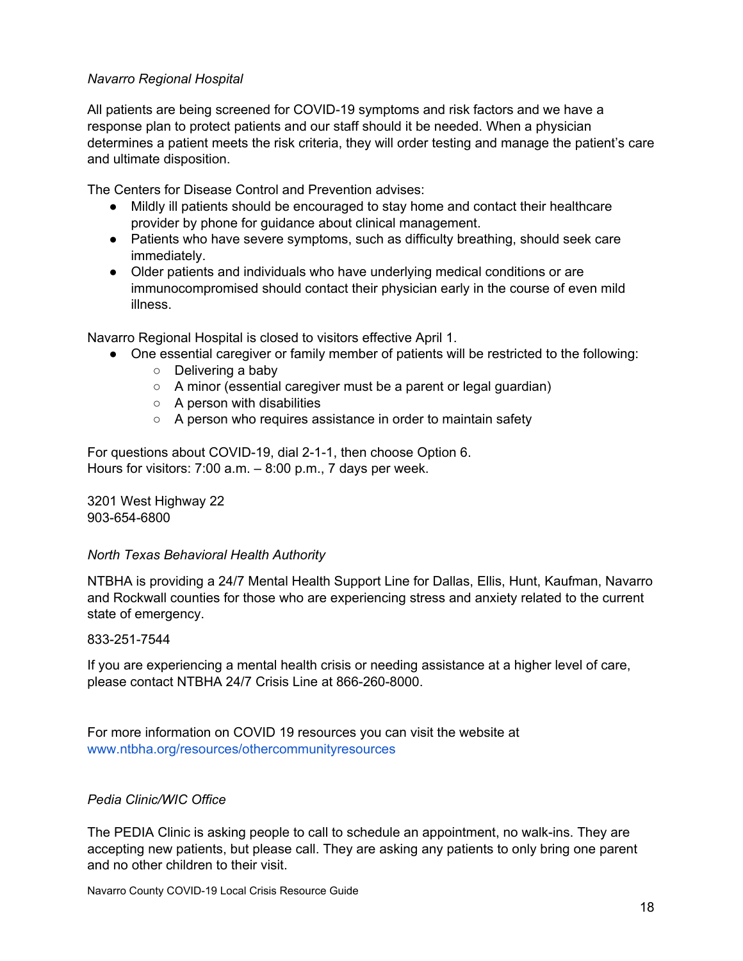# <span id="page-17-0"></span>*Navarro Regional Hospital*

All patients are being screened for COVID-19 symptoms and risk factors and we have a response plan to protect patients and our staff should it be needed. When a physician determines a patient meets the risk criteria, they will order testing and manage the patient's care and ultimate disposition.

The Centers for Disease Control and Prevention advises:

- Mildly ill patients should be encouraged to stay home and contact their healthcare provider by phone for guidance about clinical management.
- Patients who have severe symptoms, such as difficulty breathing, should seek care immediately.
- Older patients and individuals who have underlying medical conditions or are immunocompromised should contact their physician early in the course of even mild illness.

Navarro Regional Hospital is closed to visitors effective April 1.

- One essential caregiver or family member of patients will be restricted to the following:
	- Delivering a baby
	- A minor (essential caregiver must be a parent or legal guardian)
	- $\circ$  A person with disabilities
	- A person who requires assistance in order to maintain safety

For questions about COVID-19, dial 2-1-1, then choose Option 6. Hours for visitors: 7:00 a.m. – 8:00 p.m., 7 days per week.

3201 West Highway 22 903-654-6800

# <span id="page-17-1"></span>*North Texas Behavioral Health Authority*

NTBHA is providing a 24/7 Mental Health Support Line for Dallas, Ellis, Hunt, Kaufman, Navarro and Rockwall counties for those who are experiencing stress and anxiety related to the current state of emergency.

# 833-251-7544

If you are experiencing a mental health crisis or needing assistance at a higher level of care, please contact NTBHA 24/7 Crisis Line at 866-260-8000.

For more information on COVID 19 resources you can visit the website at [www.ntbha.org/resources/othercommunityresources](http://www.ntbha.org/resources/othercommunityresources)

# <span id="page-17-2"></span>*Pedia Clinic/WIC Office*

The PEDIA Clinic is asking people to call to schedule an appointment, no walk-ins. They are accepting new patients, but please call. They are asking any patients to only bring one parent and no other children to their visit.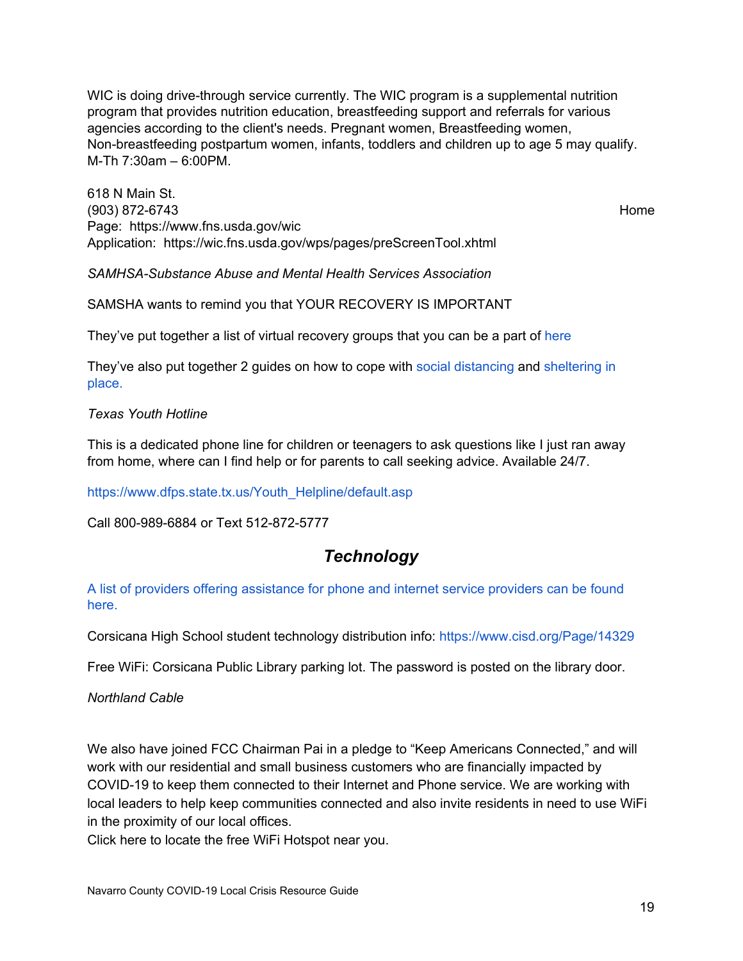WIC is doing drive-through service currently. The WIC program is a supplemental nutrition program that provides nutrition education, breastfeeding support and referrals for various agencies according to the client's needs. Pregnant women, Breastfeeding women, Non-breastfeeding postpartum women, infants, toddlers and children up to age 5 may qualify. M-Th 7:30am – 6:00PM.

618 N Main St. (903) 872-6743 Home Page: https://www.fns.usda.gov/wic Application: <https://wic.fns.usda.gov/wps/pages/preScreenTool.xhtml>

*SAMHSA-Substance Abuse and Mental Health Services Association*

SAMSHA wants to remind you that YOUR RECOVERY IS IMPORTANT

They've put together a list of virtual recovery groups that you can be a part of [here](https://www.samhsa.gov/sites/default/files/virtual-recovery-resources.pdf)

They've also put together 2 guides on how to cope with social [distancing](https://www.samhsa.gov/sites/default/files/tips-social-distancing-quarantine-isolation-031620.pdf) and [sheltering](https://store.samhsa.gov/product/How-To-Cope-With-Sheltering-in-Place/SMA14-4893) in [place.](https://store.samhsa.gov/product/How-To-Cope-With-Sheltering-in-Place/SMA14-4893)

<span id="page-18-0"></span>*Texas Youth Hotline*

This is a dedicated phone line for children or teenagers to ask questions like I just ran away from home, where can I find help or for parents to call seeking advice. Available 24/7.

[https://www.dfps.state.tx.us/Youth\\_Helpline/default.asp](https://www.dfps.state.tx.us/Youth_Helpline/default.asp)

<span id="page-18-1"></span>Call 800-989-6884 or Text 512-872-5777

# *Technology*

A list of providers offering [assistance](https://www.cisd.org/site/handlers/filedownload.ashx?moduleinstanceid=20747&dataid=39413&FileName=ISPs%20In%20the%20area%20or%20offering%20help.pdf) for phone and internet service providers can be found [here.](https://www.cisd.org/site/handlers/filedownload.ashx?moduleinstanceid=20747&dataid=39413&FileName=ISPs%20In%20the%20area%20or%20offering%20help.pdf)

Corsicana High School student technology distribution info[:](https://www.cisd.org/Page/14329) <https://www.cisd.org/Page/14329>

Free WiFi: Corsicana Public Library parking lot. The password is posted on the library door.

*Northland Cable*

We also have joined FCC Chairman Pai in a pledge to "Keep Americans [Connected,](https://docs.fcc.gov/public/attachments/DOC-363033A1.pdf)" and will work with our residential and small business customers who are financially impacted by COVID-19 to keep them connected to their Internet and Phone service. We are working with local leaders to help keep communities connected and also invite residents in need to use WiFi in the proximity of our local offices.

Click here to locate the free WiFi [Hotspot](https://www.vyvebroadband.com/free-wifi/) near you.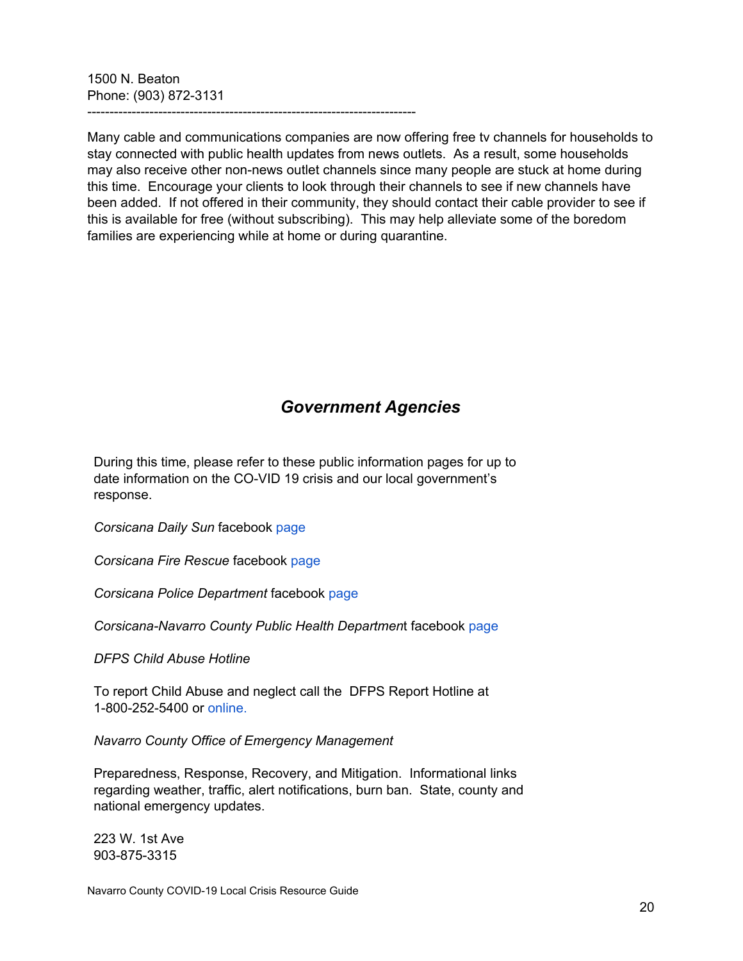1500 N. Beaton Phone: (903) 872-3131

--------------------------------------------------------------------------

Many cable and communications companies are now offering free tv channels for households to stay connected with public health updates from news outlets. As a result, some households may also receive other non-news outlet channels since many people are stuck at home during this time. Encourage your clients to look through their channels to see if new channels have been added. If not offered in their community, they should contact their cable provider to see if this is available for free (without subscribing). This may help alleviate some of the boredom families are experiencing while at home or during quarantine.

# *Government Agencies*

<span id="page-19-0"></span>During this time, please refer to these public information pages for up to date information on the CO-VID 19 crisis and our local government's response.

*Corsicana Daily Sun* facebook [page](https://www.facebook.com/corsicanadailysun)

*Corsicana Fire Rescue* facebook [page](https://www.facebook.com/corsicanafire)

*Corsicana Police Department* facebook [page](https://www.facebook.com/Corsicana-Police-Department-1433425936962970)

*Corsicana-Navarro County Public Health Departmen*t facebook [page](https://www.facebook.com/CorsicanaNavarroCountyHealthDepartment)

*DFPS Child Abuse Hotline*

To report Child Abuse and neglect call the DFPS Report Hotline at 1-800-252-5400 or [online.](https://www.txabusehotline.org/Login/Default.aspx)

*Navarro County Office of Emergency Management*

Preparedness, Response, Recovery, and Mitigation. Informational links regarding weather, traffic, alert notifications, burn ban. State, county and national emergency updates.

223 W. 1st Ave 903-875-3315